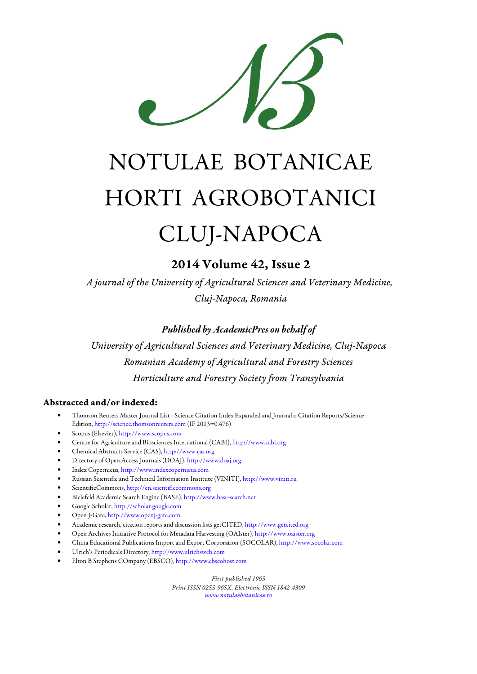

# NOTULAE BOTANICAE HORTI AGROBOTANICI

# CLUJ-NAPOCA

### 2014 Volume 42, Issue 2

A journal of the University of Agricultural Sciences and Veterinary Medicine, Cluj-Napoca, Romania

Published by AcademicPres on behalf of

University of Agricultural Sciences and Veterinary Medicine, Cluj-Napoca Romanian Academy of Agricultural and Forestry Sciences Horticulture and Forestry Society from Transylvania

#### Abstracted and/or indexed:

- Thomson Reuters Master Journal List Science Citation Index Expanded and Journal o Citation Reports/Science Edition, http://science.thomsonreuters.com (IF 2013=0.476)
- Scopus (Elsevier), http://www.scopus.com
- Centre for Agriculture and Biosciences International (CABI), http://www.cabi.org
- Chemical Abstracts Service (CAS), http://www.cas.org
- Directory of Open Access Journals (DOAJ), http://www.doaj.org
- Index Copernicus, http://www.indexcopernicus.com
- Russian Scientific and Technical Information Institute (VINITI), http://www.viniti.ru
- ScientificCommons, http://en.scientificcommons.org
- Bielefeld Academic Search Engine (BASE), http://www.base-search.net
- Google Scholar, http://scholar.google.com
- Open J-Gate, http://www.openj-gate.com
- Academic research, citation reports and discussion lists getCITED, http://www.getcited.org
- Open Archives Initiative Protocol for Metadata Harvesting (OAIster), http://www.oaister.org
- China Educational Publications Import and Export Corporation (SOCOLAR), http://www.socolar.com
- Ulrich's Periodicals Directory, http://www.ulrichsweb.com
- Elton B Stephens COmpany (EBSCO), http://www.ebscohost.com

First published 1965 Print ISSN 0255-965X, Electronic ISSN 1842-4309 www.notulaebotanicae.ro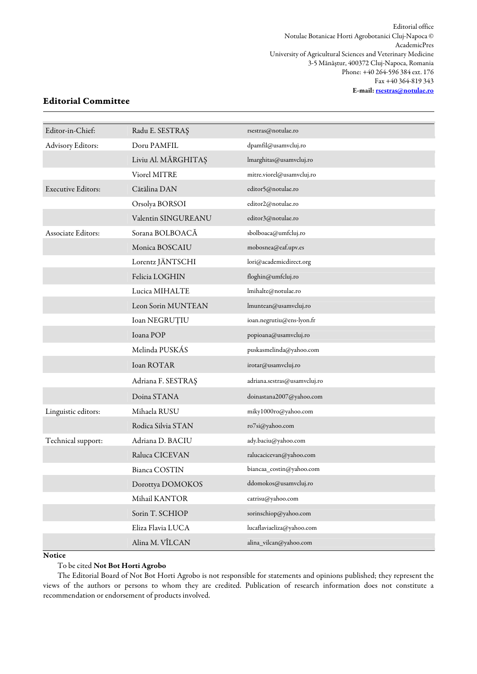Editorial office Notulae Botanicae Horti Agrobotanici Cluj-Napoca © AcademicPres University of Agricultural Sciences and Veterinary Medicine 3-5 Mănăştur, 400372 Cluj-Napoca, Romania Phone: +40 264-596 384 ext. 176 Fax +40 364-819 343 E-mail: rsestras@notulae.ro

#### Editorial Committee

| Editor-in-Chief:          | Radu E. SESTRAŞ     | rsestras@notulae.ro          |
|---------------------------|---------------------|------------------------------|
| Advisory Editors:         | Doru PAMFIL         | dpamfil@usamvcluj.ro         |
|                           | Liviu Al. MĂRGHITAȘ | lmarghitas@usamvcluj.ro      |
|                           | Viorel MITRE        | mitre.viorel@usamvcluj.ro    |
| <b>Executive Editors:</b> | Cătălina DAN        | editor5@notulae.ro           |
|                           | Orsolya BORSOI      | editor2@notulae.ro           |
|                           | Valentin SINGUREANU | editor3@notulae.ro           |
| Associate Editors:        | Sorana BOLBOACĂ     | sbolboaca@umfcluj.ro         |
|                           | Monica BOSCAIU      | mobosnea@eaf.upv.es          |
|                           | Lorentz JÄNTSCHI    | lori@academicdirect.org      |
|                           | Felicia LOGHIN      | floghin@umfcluj.ro           |
|                           | Lucica MIHALTE      | lmihalte@notulae.ro          |
|                           | Leon Sorin MUNTEAN  | lmuntean@usamvcluj.ro        |
|                           | Ioan NEGRUȚIU       | ioan.negrutiu@ens-lyon.fr    |
|                           | Ioana POP           | popioana@usamvcluj.ro        |
|                           | Melinda PUSKÁS      | puskasmelinda@yahoo.com      |
|                           | Ioan ROTAR          | irotar@usamvcluj.ro          |
|                           | Adriana F. SESTRAŞ  | adriana.sestras@usamvcluj.ro |
|                           | Doina STANA         | doinastana2007@yahoo.com     |
| Linguistic editors:       | Mihaela RUSU        | miky1000ro@yahoo.com         |
|                           | Rodica Silvia STAN  | ro7si@yahoo.com              |
| Technical support:        | Adriana D. BACIU    | ady.baciu@yahoo.com          |
|                           | Raluca CICEVAN      | ralucacicevan@yahoo.com      |
|                           | Bianca COSTIN       | biancaa_costin@yahoo.com     |
|                           | Dorottya DOMOKOS    | ddomokos@usamvcluj.ro        |
|                           | Mihail KANTOR       | catrisu@yahoo.com            |
|                           | Sorin T. SCHIOP     | sorinschiop@yahoo.com        |
|                           | Eliza Flavia LUCA   | lucaflaviaeliza@yahoo.com    |
|                           | Alina M. VÎLCAN     | alina_vilcan@yahoo.com       |

#### Notice

#### To be cited Not Bot Horti Agrobo

The Editorial Board of Not Bot Horti Agrobo is not responsible for statements and opinions published; they represent the views of the authors or persons to whom they are credited. Publication of research information does not constitute a recommendation or endorsement of products involved.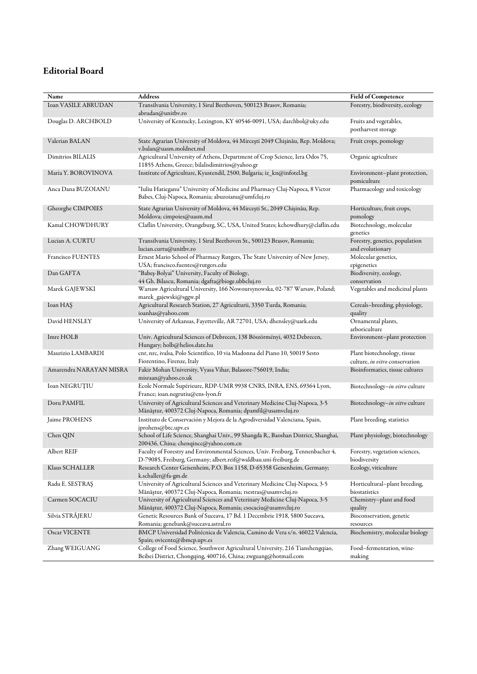#### Editorial Board

| Name                       | Address                                                                            | <b>Field of Competence</b>      |
|----------------------------|------------------------------------------------------------------------------------|---------------------------------|
| <b>Ioan VASILE ABRUDAN</b> | Transilvania University, 1 Sirul Beethoven, 500123 Brasov, Romania;                | Forestry, biodiversity, ecology |
|                            | abrudan@unitbv.ro                                                                  |                                 |
| Douglas D. ARCHBOLD        | University of Kentucky, Lexington, KY 40546-0091, USA; darchbol@uky.edu            | Fruits and vegetables,          |
|                            |                                                                                    | postharvest storage             |
|                            |                                                                                    |                                 |
| Valerian BALAN             | State Agrarian University of Moldova, 44 Mircești 2049 Chișinău, Rep. Moldova;     | Fruit crops, pomology           |
|                            | v.balan@uasm.moldnet.md                                                            |                                 |
| Dimitrios BILALIS          | Agricultural University of Athens, Department of Crop Science, Iera Odos 75,       | Organic agriculture             |
|                            | 11855 Athens, Greece; bilalisdimitrios@yahoo.gr                                    |                                 |
| Maria Y. BOROVINOVA        | Institute of Agriculture, Kyustendil, 2500, Bulgaria; iz_kn@infotel.bg             | Environment-plant protection,   |
|                            |                                                                                    | pomiculture                     |
| Anca Dana BUZOIANU         | "Iuliu Hatieganu" University of Medicine and Pharmacy Cluj-Napoca, 8 Victor        | Pharmacology and toxicology     |
|                            | Babes, Cluj-Napoca, Romania; abuzoianu@umfcluj.ro                                  |                                 |
| Gheorghe CIMPOIES          | State Agrarian University of Moldova, 44 Mircești St., 2049 Chișinău, Rep.         | Horticulture, fruit crops,      |
|                            | Moldova; cimpoies@uasm.md                                                          | pomology                        |
| Kamal CHOWDHURY            | Claflin University, Orangeburg, SC, USA, United States; kchowdhury@claflin.edu     | Biotechnology, molecular        |
|                            |                                                                                    | genetics                        |
| Lucian A. CURTU            | Transilvania University, 1 Sirul Beethoven St., 500123 Brasov, Romania;            | Forestry, genetics, population  |
|                            | lucian.curtu@unitbv.ro                                                             | and evolutionary                |
| Francisco FUENTES          | Ernest Mario School of Pharmacy Rutgers, The State University of New Jersey,       | Molecular genetics,             |
|                            | USA; francisco.fuentes@rutgers.edu                                                 | epigenetics                     |
| Dan GAFTA                  | "Babeş-Bolyai" University, Faculty of Biology,                                     | Biodiversity, ecology,          |
|                            | 44 Gh. Bilascu, Romania; dgafta@bioge.ubbcluj.ro                                   | conservation                    |
| Marek GAJEWSKI             | Warsaw Agricultural University, 166 Nowoursynowska, 02-787 Warsaw, Poland;         | Vegetables and medicinal plants |
|                            | marek_gajewski@sggw.pl                                                             |                                 |
| Ioan HAŞ                   | Agricultural Research Station, 27 Agriculturii, 3350 Turda, Romania;               | Cereals-breeding, physiology,   |
|                            | ioanhas@yahoo.com                                                                  | quality                         |
| David HENSLEY              | University of Arkansas, Fayetteville, AR 72701, USA; dhensley@uark.edu             | Ornamental plants,              |
|                            |                                                                                    | arboriculture                   |
| Imre HOLB                  | Univ. Agricultural Sciences of Debrecen, 138 Böszörményi, 4032 Debrecen,           | Environment-plant protection    |
|                            | Hungary; holb@helios.date.hu                                                       |                                 |
| Maurizio LAMBARDI          | cnr, nrc, ivalsa, Polo Scientifico, 10 via Madonna del Piano 10, 50019 Sesto       | Plant biotechnology, tissue     |
|                            | Fiorentino, Firenze, Italy                                                         | culture, in vitro conservation  |
| Amarendra NARAYAN MISRA    | Fakir Mohan University, Vyasa Vihar, Balasore-756019, India;                       | Bioinformatics, tissue cultures |
|                            | misraan@yahoo.co.uk                                                                |                                 |
| Ioan NEGRUȚIU              | Ecole Normale Supérieure, RDP-UMR 9938 CNRS, INRA, ENS, 69364 Lyon,                | Biotechnology-in vitro culture  |
|                            | France; ioan.negrutiu@ens-lyon.fr                                                  |                                 |
| Doru PAMFIL                | University of Agricultural Sciences and Veterinary Medicine Cluj-Napoca, 3-5       | Biotechnology-in vitro culture  |
|                            | Mănăștur, 400372 Cluj-Napoca, Romania; dpamfil@usamvcluj.ro                        |                                 |
| Jaime PROHENS              | Instituto de Conservación y Mejora de la Agrodiversidad Valenciana, Spain,         | Plant breeding, statistics      |
|                            | jprohens@btc.upv.es                                                                |                                 |
| Chen QIN                   | School of Life Science, Shanghai Univ., 99 Shangda R., Baoshan District, Shanghai, | Plant physiology, biotechnology |
|                            | 200436, China; chenqincc@yahoo.com.cn                                              |                                 |
| Albert REIF                | Faculty of Forestry and Environmental Sciences, Univ. Freiburg, Tennenbacher 4,    | Forestry, vegetation sciences,  |
|                            | D-79085, Freiburg, Germany; albert.reif@waldbau.uni-freiburg.de                    | biodiversity                    |
| Klaus SCHALLER             | Research Center Geisenheim, P.O. Box 1158, D-65358 Geisenheim, Germany;            | Ecology, viticulture            |
|                            | k.schaller@fa-gm.de                                                                |                                 |
| Radu E. SESTRAŞ            | University of Agricultural Sciences and Veterinary Medicine Cluj-Napoca, 3-5       | Horticultural-plant breeding,   |
|                            | Mănăștur, 400372 Cluj-Napoca, Romania; rsestras@usamvcluj.ro                       | biostatistics                   |
| Carmen SOCACIU             | University of Agricultural Sciences and Veterinary Medicine Cluj-Napoca, 3-5       | Chemistry-plant and food        |
|                            | Mănăștur, 400372 Cluj-Napoca, Romania; csocaciu@usamvcluj.ro                       | quality                         |
| Silvia STRĂJERU            | Genetic Resources Bank of Suceava, 17 Bd. 1 Decembrie 1918, 5800 Suceava,          | Bioconservation, genetic        |
|                            | Romania; genebank@suceava.astral.ro                                                | resources                       |
| Oscar VICENTE              | BMCP Universidad Politécnica de Valencia, Camino de Vera s/n. 46022 Valencia,      | Biochemistry, molecular biology |
|                            | Spain; ovicente@ibmcp.upv.es                                                       |                                 |
| Zhang WEIGUANG             | College of Food Science, Southwest Agricultural University, 216 Tianshengqiao,     | Food-fermentation, wine-        |
|                            | Beibei District, Chongqing, 400716, China; zwguang@hotmail.com                     | making                          |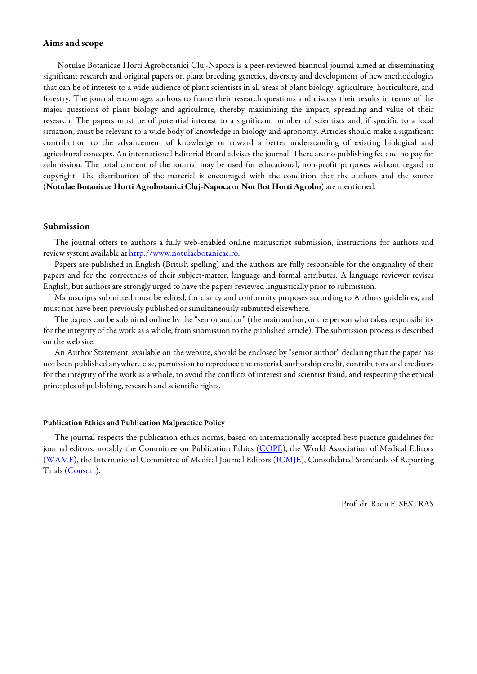#### Aims and scope

Notulae Botanicae Horti Agrobotanici Cluj-Napoca is a peer-reviewed biannual journal aimed at disseminating significant research and original papers on plant breeding, genetics, diversity and development of new methodologies that can be of interest to a wide audience of plant scientists in all areas of plant biology, agriculture, horticulture, and forestry. The journal encourages authors to frame their research questions and discuss their results in terms of the major questions of plant biology and agriculture, thereby maximizing the impact, spreading and value of their research. The papers must be of potential interest to a significant number of scientists and, if specific to a local situation, must be relevant to a wide body of knowledge in biology and agronomy. Articles should make a significant contribution to the advancement of knowledge or toward a better understanding of existing biological and agricultural concepts. An international Editorial Board advises the journal. There are no publishing fee and no pay for submission. The total content of the journal may be used for educational, non-profit purposes without regard to copyright. The distribution of the material is encouraged with the condition that the authors and the source (Notulae Botanicae Horti Agrobotanici Cluj-Napoca or Not Bot Horti Agrobo) are mentioned.

#### Submission

The journal offers to authors a fully web-enabled online manuscript submission, instructions for authors and review system available at http://www.notulaebotanicae.ro.

Papers are published in English (British spelling) and the authors are fully responsible for the originality of their papers and for the correctness of their subject-matter, language and formal attributes. A language reviewer revises English, but authors are strongly urged to have the papers reviewed linguistically prior to submission.

Manuscripts submitted must be edited, for clarity and conformity purposes according to Authors guidelines, and must not have been previously published or simultaneously submitted elsewhere.

The papers can be submited online by the "senior author" (the main author, or the person who takes responsibility for the integrity of the work as a whole, from submission to the published article). The submission process is described on the web site.

An Author Statement, available on the website, should be enclosed by "senior author" declaring that the paper has not been published anywhere else, permission to reproduce the material, authorship credit, contributors and creditors for the integrity of the work as a whole, to avoid the conflicts of interest and scientist fraud, and respecting the ethical principles of publishing, research and scientific rights.

#### Publication Ethics and Publication Malpractice Policy

The journal respects the publication ethics norms, based on internationally accepted best practice guidelines for journal editors, notably the Committee on Publication Ethics (COPE), the World Association of Medical Editors (WAME), the International Committee of Medical Journal Editors (ICMJE), Consolidated Standards of Reporting Trials (Consort).

Prof. dr. Radu E. SESTRAS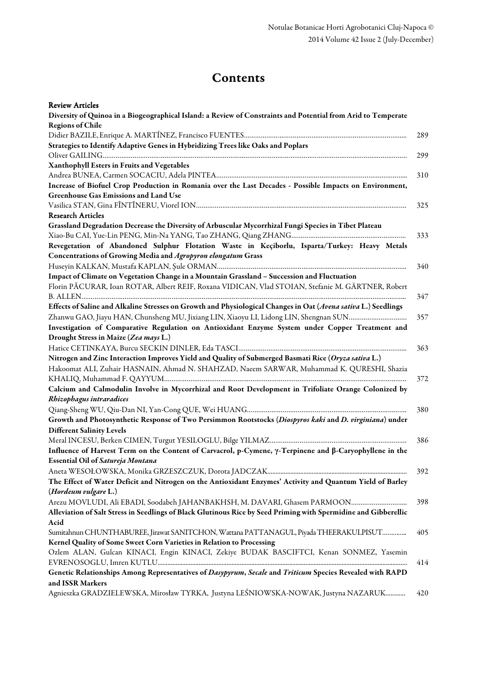## **Contents**

| <b>Review Articles</b>                                                                                                                                                                            |     |
|---------------------------------------------------------------------------------------------------------------------------------------------------------------------------------------------------|-----|
| Diversity of Quinoa in a Biogeographical Island: a Review of Constraints and Potential from Arid to Temperate                                                                                     |     |
| <b>Regions of Chile</b>                                                                                                                                                                           |     |
|                                                                                                                                                                                                   | 289 |
| Strategies to Identify Adaptive Genes in Hybridizing Trees like Oaks and Poplars                                                                                                                  | 299 |
| Xanthophyll Esters in Fruits and Vegetables                                                                                                                                                       |     |
|                                                                                                                                                                                                   | 310 |
| Increase of Biofuel Crop Production in Romania over the Last Decades - Possible Impacts on Environment,                                                                                           |     |
| <b>Greenhouse Gas Emissions and Land Use</b>                                                                                                                                                      |     |
|                                                                                                                                                                                                   | 325 |
| <b>Research Articles</b>                                                                                                                                                                          |     |
| Grassland Degradation Decrease the Diversity of Arbuscular Mycorrhizal Fungi Species in Tibet Plateau                                                                                             |     |
|                                                                                                                                                                                                   | 333 |
| Revegetation of Abandoned Sulphur Flotation Waste in Keçiborlu, Isparta/Turkey: Heavy Metals<br>Concentrations of Growing Media and Agropyron elongatum Grass                                     |     |
|                                                                                                                                                                                                   | 340 |
| Impact of Climate on Vegetation Change in a Mountain Grassland - Succession and Fluctuation<br>Florin PĂCURAR, Ioan ROTAR, Albert REIF, Roxana VIDICAN, Vlad STOIAN, Stefanie M. GÄRTNER, Robert  | 347 |
| Effects of Saline and Alkaline Stresses on Growth and Physiological Changes in Oat (Avena sativa L.) Seedlings                                                                                    |     |
| Zhanwu GAO, Jiayu HAN, Chunsheng MU, Jixiang LIN, Xiaoyu LI, Lidong LIN, Shengnan SUN                                                                                                             |     |
| Investigation of Comparative Regulation on Antioxidant Enzyme System under Copper Treatment and                                                                                                   | 357 |
| Drought Stress in Maize (Zea mays L.)                                                                                                                                                             |     |
|                                                                                                                                                                                                   | 363 |
|                                                                                                                                                                                                   |     |
| Nitrogen and Zinc Interaction Improves Yield and Quality of Submerged Basmati Rice (Oryza sativa L.)<br>Hakoomat ALI, Zuhair HASNAIN, Ahmad N. SHAHZAD, Naeem SARWAR, Muhammad K. QURESHI, Shazia |     |
|                                                                                                                                                                                                   | 372 |
| Calcium and Calmodulin Involve in Mycorrhizal and Root Development in Trifoliate Orange Colonized by                                                                                              |     |
| Rhizophagus intraradices                                                                                                                                                                          |     |
|                                                                                                                                                                                                   | 380 |
| Growth and Photosynthetic Response of Two Persimmon Rootstocks (Diospyros kaki and D. virginiana) under                                                                                           |     |
| <b>Different Salinity Levels</b>                                                                                                                                                                  |     |
|                                                                                                                                                                                                   | 386 |
| Influence of Harvest Term on the Content of Carvacrol, p-Cymene, γ-Terpinene and β-Caryophyllene in the                                                                                           |     |
| <b>Essential Oil of Satureja Montana</b>                                                                                                                                                          |     |
|                                                                                                                                                                                                   | 392 |
| The Effect of Water Deficit and Nitrogen on the Antioxidant Enzymes' Activity and Quantum Yield of Barley                                                                                         |     |
| (Hordeum vulgare L.)                                                                                                                                                                              |     |
| Arezu MOVLUDI, Ali EBADI, Soodabeh JAHANBAKHSH, M. DAVARI, Ghasem PARMOON                                                                                                                         | 398 |
| Alleviation of Salt Stress in Seedlings of Black Glutinous Rice by Seed Priming with Spermidine and Gibberellic                                                                                   |     |
| Acid                                                                                                                                                                                              |     |
| Sumitahnun CHUNTHABUREE, Jirawat SANITCHON, Wattana PATTANAGUL, Piyada THEERAKULPISUT                                                                                                             | 405 |
| Kernel Quality of Some Sweet Corn Varieties in Relation to Processing<br>Ozlem ALAN, Gulcan KINACI, Engin KINACI, Zekiye BUDAK BASCIFTCI, Kenan SONMEZ, Yasemin                                   |     |
| Genetic Relationships Among Representatives of Dasypyrum, Secale and Triticum Species Revealed with RAPD                                                                                          | 414 |
| and ISSR Markers                                                                                                                                                                                  |     |
| Agnieszka GRADZIELEWSKA, Mirosław TYRKA, Justyna LEŚNIOWSKA-NOWAK, Justyna NAZARUK                                                                                                                | 420 |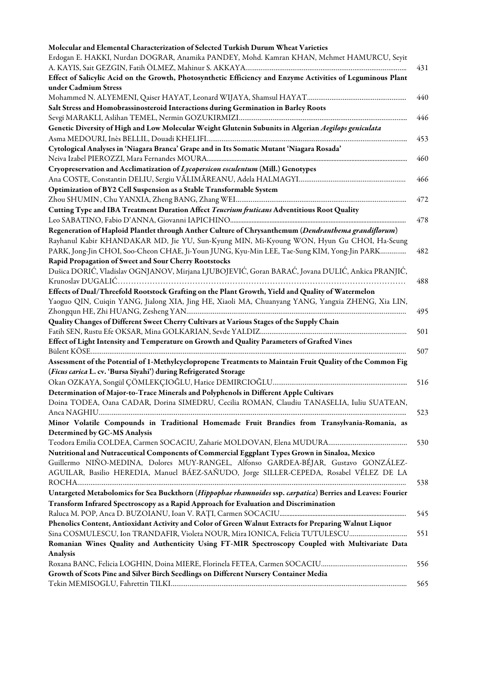| Molecular and Elemental Characterization of Selected Turkish Durum Wheat Varieties                                                   |     |
|--------------------------------------------------------------------------------------------------------------------------------------|-----|
| Erdogan E. HAKKI, Nurdan DOGRAR, Anamika PANDEY, Mohd. Kamran KHAN, Mehmet HAMURCU, Seyit                                            |     |
|                                                                                                                                      | 431 |
| Effect of Salicylic Acid on the Growth, Photosynthetic Efficiency and Enzyme Activities of Leguminous Plant                          |     |
| under Cadmium Stress                                                                                                                 |     |
|                                                                                                                                      | 440 |
| Salt Stress and Homobrassinosteroid Interactions during Germination in Barley Roots                                                  |     |
|                                                                                                                                      | 446 |
| Genetic Diversity of High and Low Molecular Weight Glutenin Subunits in Algerian Aegilops geniculata                                 |     |
|                                                                                                                                      | 453 |
| Cytological Analyses in 'Niagara Branca' Grape and in Its Somatic Mutant 'Niagara Rosada'                                            |     |
|                                                                                                                                      | 460 |
| Cryopreservation and Acclimatization of Lycopersicon esculentum (Mill.) Genotypes                                                    |     |
|                                                                                                                                      | 466 |
| Optimization of BY2 Cell Suspension as a Stable Transformable System                                                                 |     |
|                                                                                                                                      | 472 |
| Cutting Type and IBA Treatment Duration Affect Teucrium fruticans Adventitious Root Quality                                          |     |
|                                                                                                                                      | 478 |
| Regeneration of Haploid Plantlet through Anther Culture of Chrysanthemum (Dendranthema grandiflorum)                                 |     |
| Rayhanul Kabir KHANDAKAR MD, Jie YU, Sun-Kyung MIN, Mi-Kyoung WON, Hyun Gu CHOI, Ha-Seung                                            |     |
| PARK, Jong-Jin CHOI, Soo-Cheon CHAE, Ji-Youn JUNG, Kyu-Min LEE, Tae-Sung KIM, Yong-Jin PARK                                          | 482 |
| Rapid Propagation of Sweet and Sour Cherry Rootstocks                                                                                |     |
| Dušica DORIĆ, Vladislav OGNJANOV, Mirjana LJUBOJEVIĆ, Goran BARAĆ, Jovana DULIĆ, Ankica PRANJIĆ,                                     |     |
|                                                                                                                                      | 488 |
| Effects of Dual/Threefold Rootstock Grafting on the Plant Growth, Yield and Quality of Watermelon                                    |     |
| Yaoguo QIN, Cuiqin YANG, Jialong XIA, Jing HE, Xiaoli MA, Chuanyang YANG, Yangxia ZHENG, Xia LIN,                                    |     |
|                                                                                                                                      | 495 |
| Quality Changes of Different Sweet Cherry Cultivars at Various Stages of the Supply Chain                                            |     |
|                                                                                                                                      | 501 |
| Effect of Light Intensity and Temperature on Growth and Quality Parameters of Grafted Vines                                          |     |
|                                                                                                                                      | 507 |
| Assessment of the Potential of 1-Methylcyclopropene Treatments to Maintain Fruit Quality of the Common Fig                           |     |
| (Ficus carica L. cv. 'Bursa Siyahi') during Refrigerated Storage                                                                     |     |
|                                                                                                                                      | 516 |
| Determination of Major-to-Trace Minerals and Polyphenols in Different Apple Cultivars                                                |     |
| Doina TODEA, Oana CADAR, Dorina SIMEDRU, Cecilia ROMAN, Claudiu TANASELIA, Iuliu SUATEAN,                                            |     |
|                                                                                                                                      | 523 |
| Minor Volatile Compounds in Traditional Homemade Fruit Brandies from Transylvania-Romania, as<br><b>Determined by GC-MS Analysis</b> |     |
|                                                                                                                                      | 530 |
| Nutritional and Nutraceutical Components of Commercial Eggplant Types Grown in Sinaloa, Mexico                                       |     |
| Guillermo NIÑO-MEDINA, Dolores MUY-RANGEL, Alfonso GARDEA-BÉJAR, Gustavo GONZÁLEZ-                                                   |     |
| AGUILAR, Basilio HEREDIA, Manuel BÁEZ-SAÑUDO, Jorge SILLER-CEPEDA, Rosabel VÉLEZ DE LA                                               |     |
|                                                                                                                                      | 538 |
| Untargeted Metabolomics for Sea Buckthorn (Hippophae rhamnoides ssp. carpatica) Berries and Leaves: Fourier                          |     |
| Transform Infrared Spectroscopy as a Rapid Approach for Evaluation and Discrimination                                                |     |
|                                                                                                                                      | 545 |
| Phenolics Content, Antioxidant Activity and Color of Green Walnut Extracts for Preparing Walnut Liquor                               |     |
| Sina COSMULESCU, Ion TRANDAFIR, Violeta NOUR, Mira IONICA, Felicia TUTULESCU                                                         | 551 |
| Romanian Wines Quality and Authenticity Using FT-MIR Spectroscopy Coupled with Multivariate Data                                     |     |
| Analysis                                                                                                                             |     |
|                                                                                                                                      | 556 |
| Growth of Scots Pine and Silver Birch Seedlings on Different Nursery Container Media                                                 |     |
|                                                                                                                                      | 565 |
|                                                                                                                                      |     |